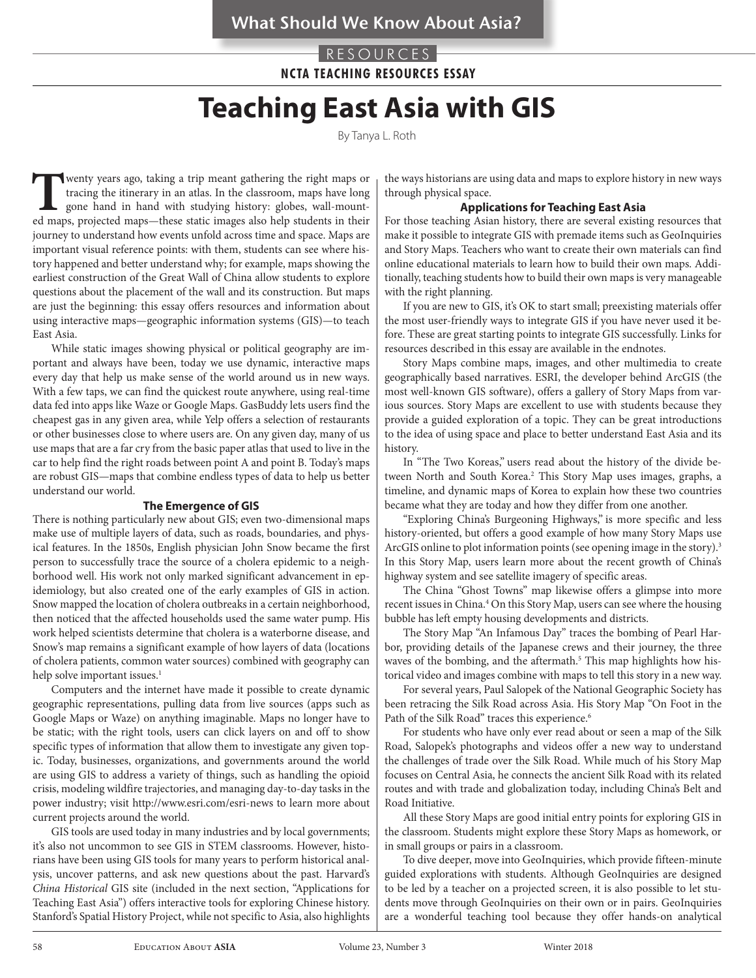## RESOURCES **NCTA TEACHING RESOURCES ESSAY**

# **Teaching East Asia with GIS**

By Tanya L. Roth

**T** wenty years ago, taking a trip meant gathering the right maps or tracing the itinerary in an atlas. In the classroom, maps have long gone hand in hand with studying history: globes, wall-mounted maps, projected maps—th tracing the itinerary in an atlas. In the classroom, maps have long gone hand in hand with studying history: globes, wall-mounted maps, projected maps—these static images also help students in their journey to understand how events unfold across time and space. Maps are important visual reference points: with them, students can see where history happened and better understand why; for example, maps showing the earliest construction of the Great Wall of China allow students to explore questions about the placement of the wall and its construction. But maps are just the beginning: this essay offers resources and information about using interactive maps—geographic information systems (GIS)—to teach East Asia.

While static images showing physical or political geography are important and always have been, today we use dynamic, interactive maps every day that help us make sense of the world around us in new ways. With a few taps, we can find the quickest route anywhere, using real-time data fed into apps like Waze or Google Maps. GasBuddy lets users find the cheapest gas in any given area, while Yelp offers a selection of restaurants or other businesses close to where users are. On any given day, many of us use maps that are a far cry from the basic paper atlas that used to live in the car to help find the right roads between point A and point B. Today's maps are robust GIS—maps that combine endless types of data to help us better understand our world.

#### **The Emergence of GIS**

There is nothing particularly new about GIS; even two-dimensional maps make use of multiple layers of data, such as roads, boundaries, and physical features. In the 1850s, English physician John Snow became the first person to successfully trace the source of a cholera epidemic to a neighborhood well. His work not only marked significant advancement in epidemiology, but also created one of the early examples of GIS in action. Snow mapped the location of cholera outbreaks in a certain neighborhood, then noticed that the affected households used the same water pump. His work helped scientists determine that cholera is a waterborne disease, and Snow's map remains a significant example of how layers of data (locations of cholera patients, common water sources) combined with geography can help solve important issues.<sup>1</sup>

Computers and the internet have made it possible to create dynamic geographic representations, pulling data from live sources (apps such as Google Maps or Waze) on anything imaginable. Maps no longer have to be static; with the right tools, users can click layers on and off to show specific types of information that allow them to investigate any given topic. Today, businesses, organizations, and governments around the world are using GIS to address a variety of things, such as handling the opioid crisis, modeling wildfire trajectories, and managing day-to-day tasks in the power industry; visit http://www.esri.com/esri-news to learn more about current projects around the world.

GIS tools are used today in many industries and by local governments; it's also not uncommon to see GIS in STEM classrooms. However, historians have been using GIS tools for many years to perform historical analysis, uncover patterns, and ask new questions about the past. Harvard's *China Historical* GIS site (included in the next section, "Applications for Teaching East Asia") offers interactive tools for exploring Chinese history. Stanford's Spatial History Project, while not specific to Asia, also highlights

the ways historians are using data and maps to explore history in new ways through physical space.

#### **Applications for Teaching East Asia**

For those teaching Asian history, there are several existing resources that make it possible to integrate GIS with premade items such as GeoInquiries and Story Maps. Teachers who want to create their own materials can find online educational materials to learn how to build their own maps. Additionally, teaching students how to build their own maps is very manageable with the right planning.

If you are new to GIS, it's OK to start small; preexisting materials offer the most user-friendly ways to integrate GIS if you have never used it before. These are great starting points to integrate GIS successfully. Links for resources described in this essay are available in the endnotes.

Story Maps combine maps, images, and other multimedia to create geographically based narratives. ESRI, the developer behind ArcGIS (the most well-known GIS software), offers a gallery of Story Maps from various sources. Story Maps are excellent to use with students because they provide a guided exploration of a topic. They can be great introductions to the idea of using space and place to better understand East Asia and its history.

In "The Two Koreas," users read about the history of the divide between North and South Korea.<sup>2</sup> This Story Map uses images, graphs, a timeline, and dynamic maps of Korea to explain how these two countries became what they are today and how they differ from one another.

"Exploring China's Burgeoning Highways," is more specific and less history-oriented, but offers a good example of how many Story Maps use ArcGIS online to plot information points (see opening image in the story).<sup>3</sup> In this Story Map, users learn more about the recent growth of China's highway system and see satellite imagery of specific areas.

The China "Ghost Towns" map likewise offers a glimpse into more recent issues in China.<sup>4</sup> On this Story Map, users can see where the housing bubble has left empty housing developments and districts.

The Story Map "An Infamous Day" traces the bombing of Pearl Harbor, providing details of the Japanese crews and their journey, the three waves of the bombing, and the aftermath.<sup>5</sup> This map highlights how historical video and images combine with maps to tell this story in a new way.

For several years, Paul Salopek of the National Geographic Society has been retracing the Silk Road across Asia. His Story Map "On Foot in the Path of the Silk Road" traces this experience.<sup>6</sup>

For students who have only ever read about or seen a map of the Silk Road, Salopek's photographs and videos offer a new way to understand the challenges of trade over the Silk Road. While much of his Story Map focuses on Central Asia, he connects the ancient Silk Road with its related routes and with trade and globalization today, including China's Belt and Road Initiative.

All these Story Maps are good initial entry points for exploring GIS in the classroom. Students might explore these Story Maps as homework, or in small groups or pairs in a classroom.

To dive deeper, move into GeoInquiries, which provide fifteen-minute guided explorations with students. Although GeoInquiries are designed to be led by a teacher on a projected screen, it is also possible to let students move through GeoInquiries on their own or in pairs. GeoInquiries are a wonderful teaching tool because they offer hands-on analytical